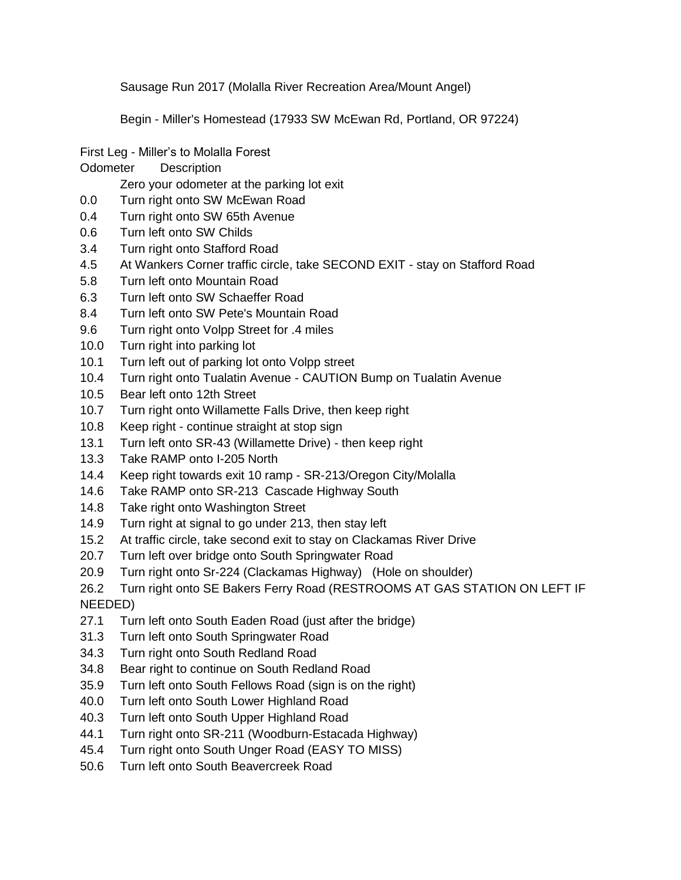Sausage Run 2017 (Molalla River Recreation Area/Mount Angel)

Begin - Miller's Homestead (17933 SW McEwan Rd, Portland, OR 97224)

- First Leg Miller's to Molalla Forest
- Odometer Description

Zero your odometer at the parking lot exit

- 0.0 Turn right onto SW McEwan Road
- 0.4 Turn right onto SW 65th Avenue
- 0.6 Turn left onto SW Childs
- 3.4 Turn right onto Stafford Road
- 4.5 At Wankers Corner traffic circle, take SECOND EXIT stay on Stafford Road
- 5.8 Turn left onto Mountain Road
- 6.3 Turn left onto SW Schaeffer Road
- 8.4 Turn left onto SW Pete's Mountain Road
- 9.6 Turn right onto Volpp Street for .4 miles
- 10.0 Turn right into parking lot
- 10.1 Turn left out of parking lot onto Volpp street
- 10.4 Turn right onto Tualatin Avenue CAUTION Bump on Tualatin Avenue
- 10.5 Bear left onto 12th Street
- 10.7 Turn right onto Willamette Falls Drive, then keep right
- 10.8 Keep right continue straight at stop sign
- 13.1 Turn left onto SR-43 (Willamette Drive) then keep right
- 13.3 Take RAMP onto I-205 North
- 14.4 Keep right towards exit 10 ramp SR-213/Oregon City/Molalla
- 14.6 Take RAMP onto SR-213 Cascade Highway South
- 14.8 Take right onto Washington Street
- 14.9 Turn right at signal to go under 213, then stay left
- 15.2 At traffic circle, take second exit to stay on Clackamas River Drive
- 20.7 Turn left over bridge onto South Springwater Road
- 20.9 Turn right onto Sr-224 (Clackamas Highway) (Hole on shoulder)
- 26.2 Turn right onto SE Bakers Ferry Road (RESTROOMS AT GAS STATION ON LEFT IF NEEDED)
- 27.1 Turn left onto South Eaden Road (just after the bridge)
- 31.3 Turn left onto South Springwater Road
- 34.3 Turn right onto South Redland Road
- 34.8 Bear right to continue on South Redland Road
- 35.9 Turn left onto South Fellows Road (sign is on the right)
- 40.0 Turn left onto South Lower Highland Road
- 40.3 Turn left onto South Upper Highland Road
- 44.1 Turn right onto SR-211 (Woodburn-Estacada Highway)
- 45.4 Turn right onto South Unger Road (EASY TO MISS)
- 50.6 Turn left onto South Beavercreek Road